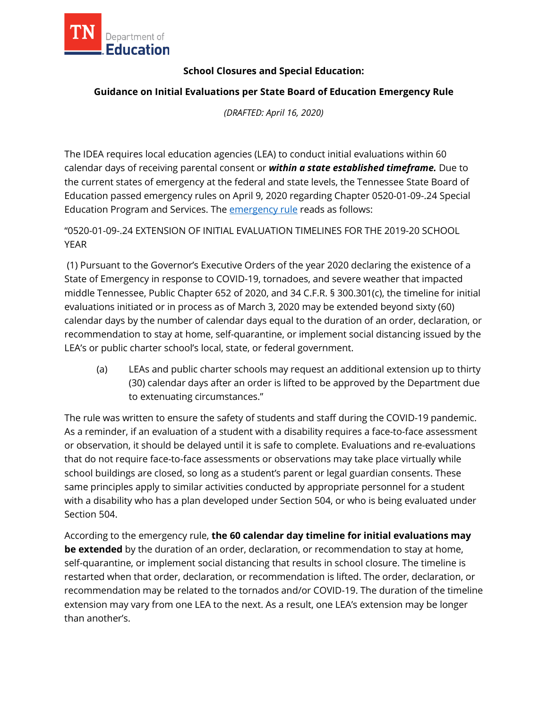

# **School Closures and Special Education:**

## **Guidance on Initial Evaluations per State Board of Education Emergency Rule**

*(DRAFTED: April 16, 2020)*

The IDEA requires local education agencies (LEA) to conduct initial evaluations within 60 calendar days of receiving parental consent or *within a state established timeframe.* Due to the current states of emergency at the federal and state levels, the Tennessee State Board of Education passed emergency rules on April 9, 2020 regarding Chapter 0520-01-09-.24 Special Education Program and Services. The **emergency rule reads as follows:** 

"0520-01-09-.24 EXTENSION OF INITIAL EVALUATION TIMELINES FOR THE 2019-20 SCHOOL YEAR

(1) Pursuant to the Governor's Executive Orders of the year 2020 declaring the existence of a State of Emergency in response to COVID-19, tornadoes, and severe weather that impacted middle Tennessee, Public Chapter 652 of 2020, and 34 C.F.R. § 300.301(c), the timeline for initial evaluations initiated or in process as of March 3, 2020 may be extended beyond sixty (60) calendar days by the number of calendar days equal to the duration of an order, declaration, or recommendation to stay at home, self-quarantine, or implement social distancing issued by the LEA's or public charter school's local, state, or federal government.

(a) LEAs and public charter schools may request an additional extension up to thirty (30) calendar days after an order is lifted to be approved by the Department due to extenuating circumstances."

The rule was written to ensure the safety of students and staff during the COVID-19 pandemic. As a reminder, if an evaluation of a student with a disability requires a face-to-face assessment or observation, it should be delayed until it is safe to complete. Evaluations and re-evaluations that do not require face-to-face assessments or observations may take place virtually while school buildings are closed, so long as a student's parent or legal guardian consents. These same principles apply to similar activities conducted by appropriate personnel for a student with a disability who has a plan developed under Section 504, or who is being evaluated under Section 504.

According to the emergency rule, **the 60 calendar day timeline for initial evaluations may be extended** by the duration of an order, declaration, or recommendation to stay at home, self-quarantine, or implement social distancing that results in school closure. The timeline is restarted when that order, declaration, or recommendation is lifted. The order, declaration, or recommendation may be related to the tornados and/or COVID-19. The duration of the timeline extension may vary from one LEA to the next. As a result, one LEA's extension may be longer than another's.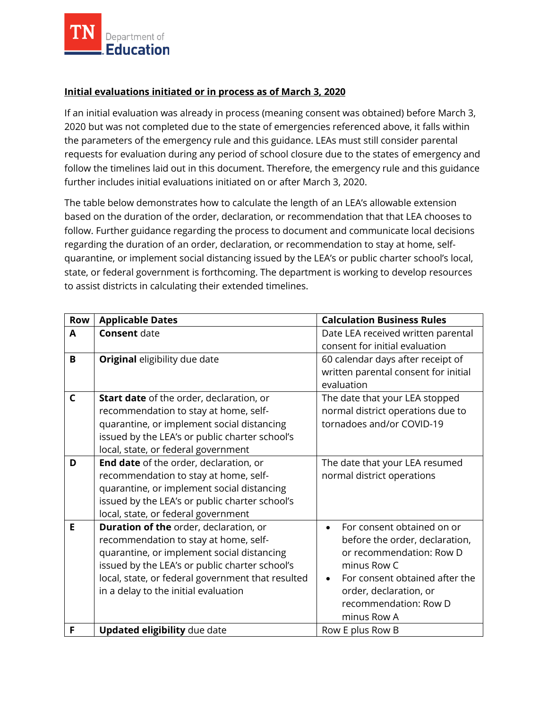

### **Initial evaluations initiated or in process as of March 3, 2020**

If an initial evaluation was already in process (meaning consent was obtained) before March 3, 2020 but was not completed due to the state of emergencies referenced above, it falls within the parameters of the emergency rule and this guidance. LEAs must still consider parental requests for evaluation during any period of school closure due to the states of emergency and follow the timelines laid out in this document. Therefore, the emergency rule and this guidance further includes initial evaluations initiated on or after March 3, 2020.

The table below demonstrates how to calculate the length of an LEA's allowable extension based on the duration of the order, declaration, or recommendation that that LEA chooses to follow. Further guidance regarding the process to document and communicate local decisions regarding the duration of an order, declaration, or recommendation to stay at home, selfquarantine, or implement social distancing issued by the LEA's or public charter school's local, state, or federal government is forthcoming. The department is working to develop resources to assist districts in calculating their extended timelines.

| <b>Row</b>   | <b>Applicable Dates</b>                           | <b>Calculation Business Rules</b>       |
|--------------|---------------------------------------------------|-----------------------------------------|
| A            | <b>Consent date</b>                               | Date LEA received written parental      |
|              |                                                   | consent for initial evaluation          |
| B            | Original eligibility due date                     | 60 calendar days after receipt of       |
|              |                                                   | written parental consent for initial    |
|              |                                                   | evaluation                              |
| $\mathsf{C}$ | Start date of the order, declaration, or          | The date that your LEA stopped          |
|              | recommendation to stay at home, self-             | normal district operations due to       |
|              | quarantine, or implement social distancing        | tornadoes and/or COVID-19               |
|              | issued by the LEA's or public charter school's    |                                         |
|              | local, state, or federal government               |                                         |
| D            | End date of the order, declaration, or            | The date that your LEA resumed          |
|              | recommendation to stay at home, self-             | normal district operations              |
|              | quarantine, or implement social distancing        |                                         |
|              | issued by the LEA's or public charter school's    |                                         |
|              | local, state, or federal government               |                                         |
| E            | Duration of the order, declaration, or            | For consent obtained on or<br>$\bullet$ |
|              | recommendation to stay at home, self-             | before the order, declaration,          |
|              | quarantine, or implement social distancing        | or recommendation: Row D                |
|              | issued by the LEA's or public charter school's    | minus Row C                             |
|              | local, state, or federal government that resulted | For consent obtained after the          |
|              | in a delay to the initial evaluation              | order, declaration, or                  |
|              |                                                   | recommendation: Row D                   |
|              |                                                   | minus Row A                             |
| F            | <b>Updated eligibility due date</b>               | Row E plus Row B                        |